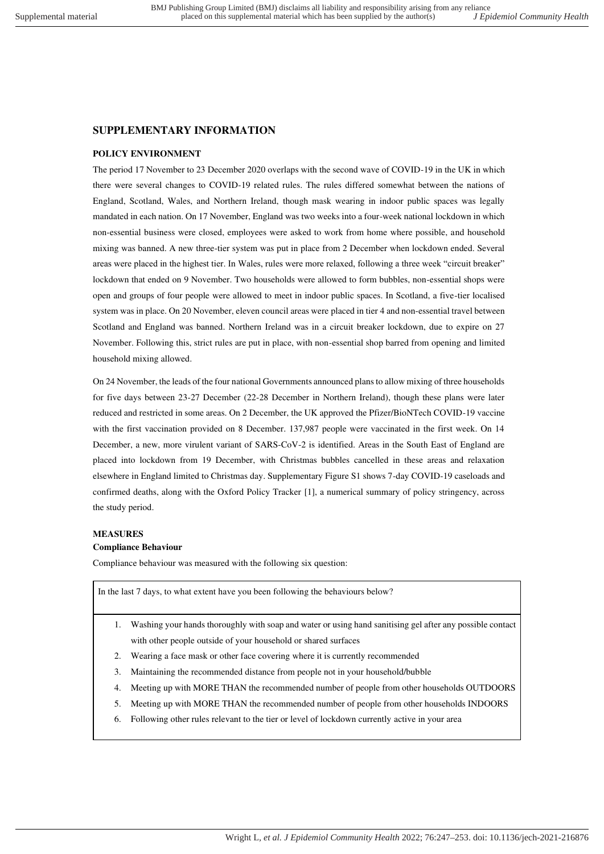# **SUPPLEMENTARY INFORMATION**

# **POLICY ENVIRONMENT**

The period 17 November to 23 December 2020 overlaps with the second wave of COVID-19 in the UK in which there were several changes to COVID-19 related rules. The rules differed somewhat between the nations of England, Scotland, Wales, and Northern Ireland, though mask wearing in indoor public spaces was legally mandated in each nation. On 17 November, England was two weeks into a four-week national lockdown in which non-essential business were closed, employees were asked to work from home where possible, and household mixing was banned. A new three-tier system was put in place from 2 December when lockdown ended. Several areas were placed in the highest tier. In Wales, rules were more relaxed, following a three week "circuit breaker" lockdown that ended on 9 November. Two households were allowed to form bubbles, non-essential shops were open and groups of four people were allowed to meet in indoor public spaces. In Scotland, a five-tier localised system was in place. On 20 November, eleven council areas were placed in tier 4 and non-essential travel between Scotland and England was banned. Northern Ireland was in a circuit breaker lockdown, due to expire on 27 November. Following this, strict rules are put in place, with non-essential shop barred from opening and limited household mixing allowed.

On 24 November, the leads of the four national Governments announced plans to allow mixing of three households for five days between 23-27 December (22-28 December in Northern Ireland), though these plans were later reduced and restricted in some areas. On 2 December, the UK approved the Pfizer/BioNTech COVID-19 vaccine with the first vaccination provided on 8 December. 137,987 people were vaccinated in the first week. On 14 December, a new, more virulent variant of SARS-CoV-2 is identified. Areas in the South East of England are placed into lockdown from 19 December, with Christmas bubbles cancelled in these areas and relaxation elsewhere in England limited to Christmas day. Supplementary Figure S1 shows 7-day COVID-19 caseloads and confirmed deaths, along with the Oxford Policy Tracker [1], a numerical summary of policy stringency, across the study period.

## **MEASURES**

# **Compliance Behaviour**

Compliance behaviour was measured with the following six question:

In the last 7 days, to what extent have you been following the behaviours below?

- 1. Washing your hands thoroughly with soap and water or using hand sanitising gel after any possible contact with other people outside of your household or shared surfaces
- 2. Wearing a face mask or other face covering where it is currently recommended
- 3. Maintaining the recommended distance from people not in your household/bubble
- 4. Meeting up with MORE THAN the recommended number of people from other households OUTDOORS
- 5. Meeting up with MORE THAN the recommended number of people from other households INDOORS
- 6. Following other rules relevant to the tier or level of lockdown currently active in your area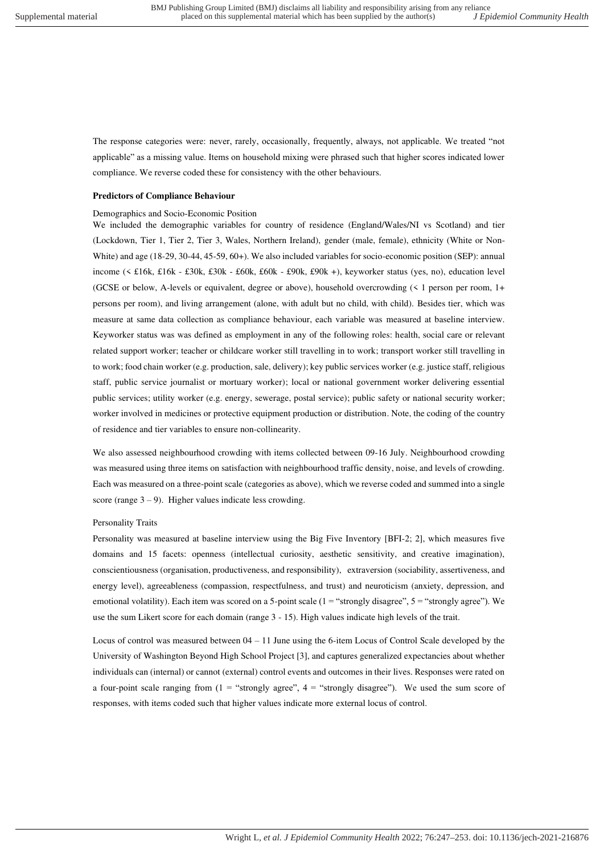The response categories were: never, rarely, occasionally, frequently, always, not applicable. We treated "not applicable" as a missing value. Items on household mixing were phrased such that higher scores indicated lower compliance. We reverse coded these for consistency with the other behaviours.

#### **Predictors of Compliance Behaviour**

#### Demographics and Socio-Economic Position

We included the demographic variables for country of residence (England/Wales/NI vs Scotland) and tier (Lockdown, Tier 1, Tier 2, Tier 3, Wales, Northern Ireland), gender (male, female), ethnicity (White or Non-White) and age (18-29, 30-44, 45-59, 60+). We also included variables for socio-economic position (SEP): annual income (< £16k, £16k - £30k, £30k - £60k, £60k - £90k, £90k +), keyworker status (yes, no), education level (GCSE or below, A-levels or equivalent, degree or above), household overcrowding (< 1 person per room, 1+ persons per room), and living arrangement (alone, with adult but no child, with child). Besides tier, which was measure at same data collection as compliance behaviour, each variable was measured at baseline interview. Keyworker status was was defined as employment in any of the following roles: health, social care or relevant related support worker; teacher or childcare worker still travelling in to work; transport worker still travelling in to work; food chain worker (e.g. production, sale, delivery); key public services worker (e.g. justice staff, religious staff, public service journalist or mortuary worker); local or national government worker delivering essential public services; utility worker (e.g. energy, sewerage, postal service); public safety or national security worker; worker involved in medicines or protective equipment production or distribution. Note, the coding of the country of residence and tier variables to ensure non-collinearity.

We also assessed neighbourhood crowding with items collected between 09-16 July. Neighbourhood crowding was measured using three items on satisfaction with neighbourhood traffic density, noise, and levels of crowding. Each was measured on a three-point scale (categories as above), which we reverse coded and summed into a single score (range  $3 - 9$ ). Higher values indicate less crowding.

#### Personality Traits

Personality was measured at baseline interview using the Big Five Inventory [BFI-2; 2], which measures five domains and 15 facets: openness (intellectual curiosity, aesthetic sensitivity, and creative imagination), conscientiousness (organisation, productiveness, and responsibility), extraversion (sociability, assertiveness, and energy level), agreeableness (compassion, respectfulness, and trust) and neuroticism (anxiety, depression, and emotional volatility). Each item was scored on a 5-point scale (1 = "strongly disagree", 5 = "strongly agree"). We use the sum Likert score for each domain (range 3 - 15). High values indicate high levels of the trait.

Locus of control was measured between 04 – 11 June using the 6-item Locus of Control Scale developed by the University of Washington Beyond High School Project [3], and captures generalized expectancies about whether individuals can (internal) or cannot (external) control events and outcomes in their lives. Responses were rated on a four-point scale ranging from  $(1 -$  "strongly agree",  $4 -$  "strongly disagree"). We used the sum score of responses, with items coded such that higher values indicate more external locus of control.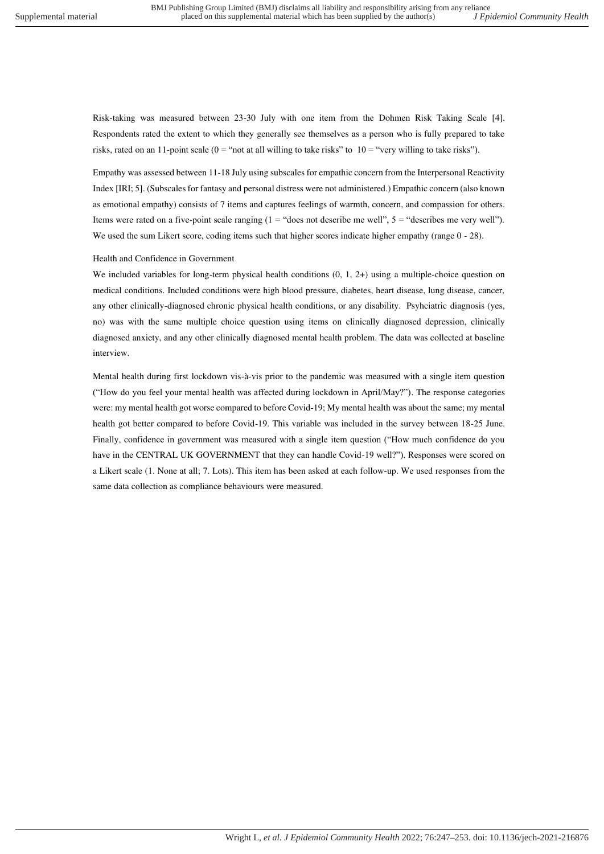Risk-taking was measured between 23-30 July with one item from the Dohmen Risk Taking Scale [4]. Respondents rated the extent to which they generally see themselves as a person who is fully prepared to take risks, rated on an 11-point scale ( $0 =$  "not at all willing to take risks" to  $10 =$  "very willing to take risks").

Empathy was assessed between 11-18 July using subscales for empathic concern from the Interpersonal Reactivity Index [IRI; 5]. (Subscales for fantasy and personal distress were not administered.) Empathic concern (also known as emotional empathy) consists of 7 items and captures feelings of warmth, concern, and compassion for others. Items were rated on a five-point scale ranging  $(1 = "does not describe me well", 5 = "describes me very well").$ We used the sum Likert score, coding items such that higher scores indicate higher empathy (range  $0 - 28$ ).

### Health and Confidence in Government

We included variables for long-term physical health conditions  $(0, 1, 2+)$  using a multiple-choice question on medical conditions. Included conditions were high blood pressure, diabetes, heart disease, lung disease, cancer, any other clinically-diagnosed chronic physical health conditions, or any disability. Psyhciatric diagnosis (yes, no) was with the same multiple choice question using items on clinically diagnosed depression, clinically diagnosed anxiety, and any other clinically diagnosed mental health problem. The data was collected at baseline interview.

Mental health during first lockdown vis-à-vis prior to the pandemic was measured with a single item question ("How do you feel your mental health was affected during lockdown in April/May?"). The response categories were: my mental health got worse compared to before Covid-19; My mental health was about the same; my mental health got better compared to before Covid-19. This variable was included in the survey between 18-25 June. Finally, confidence in government was measured with a single item question ("How much confidence do you have in the CENTRAL UK GOVERNMENT that they can handle Covid-19 well?"). Responses were scored on a Likert scale (1. None at all; 7. Lots). This item has been asked at each follow-up. We used responses from the same data collection as compliance behaviours were measured.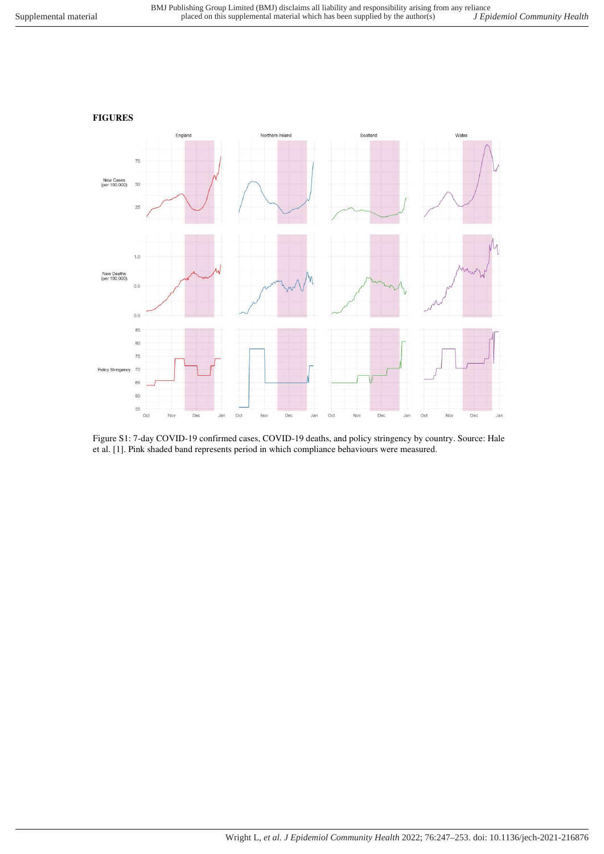

Figure S1: 7-day COVID-19 confirmed cases, COVID-19 deaths, and policy stringency by country. Source: Hale et al. [1]. Pink shaded band represents period in which compliance behaviours were measured.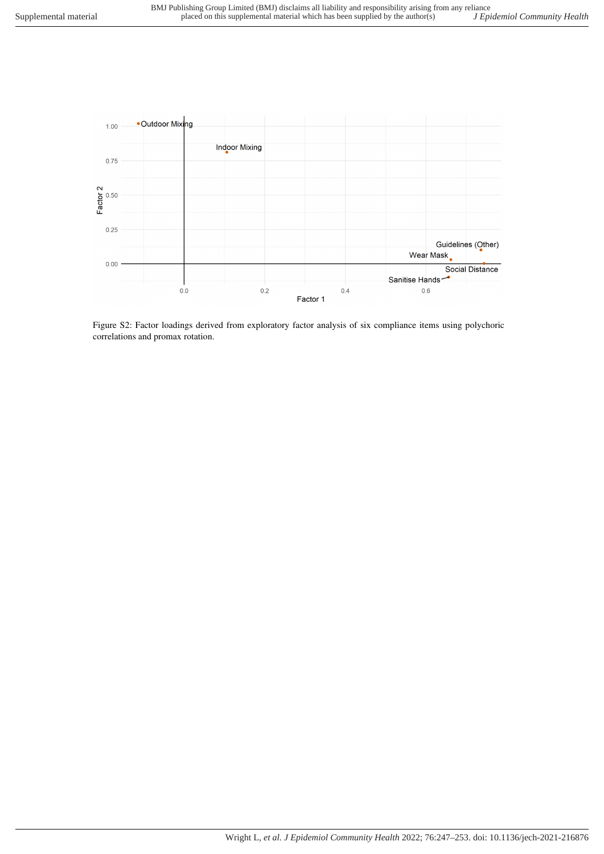

Figure S2: Factor loadings derived from exploratory factor analysis of six compliance items using polychoric correlations and promax rotation.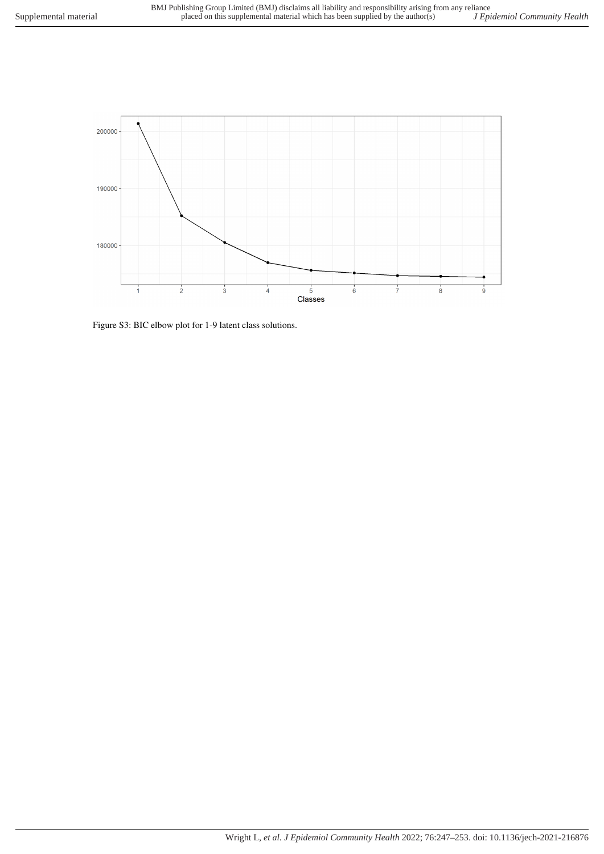

Figure S3: BIC elbow plot for 1-9 latent class solutions.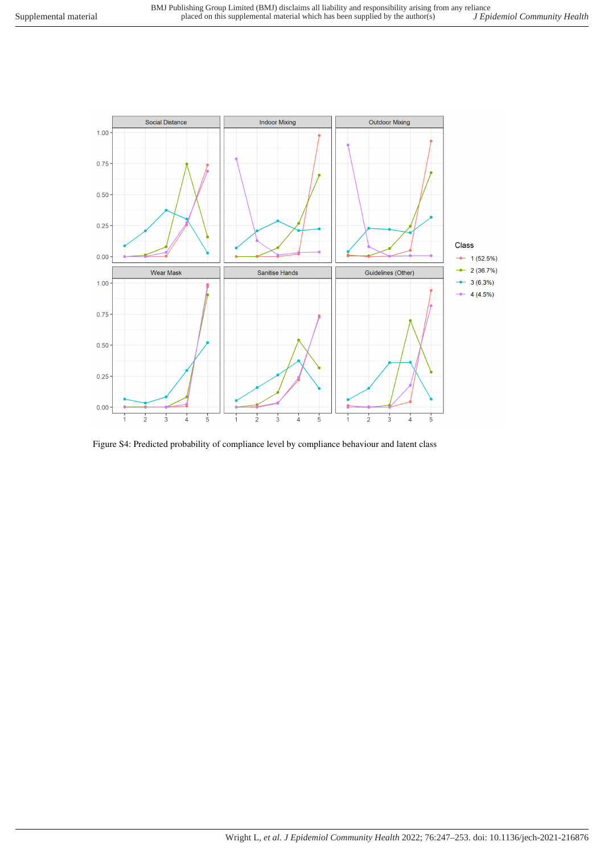

Figure S4: Predicted probability of compliance level by compliance behaviour and latent class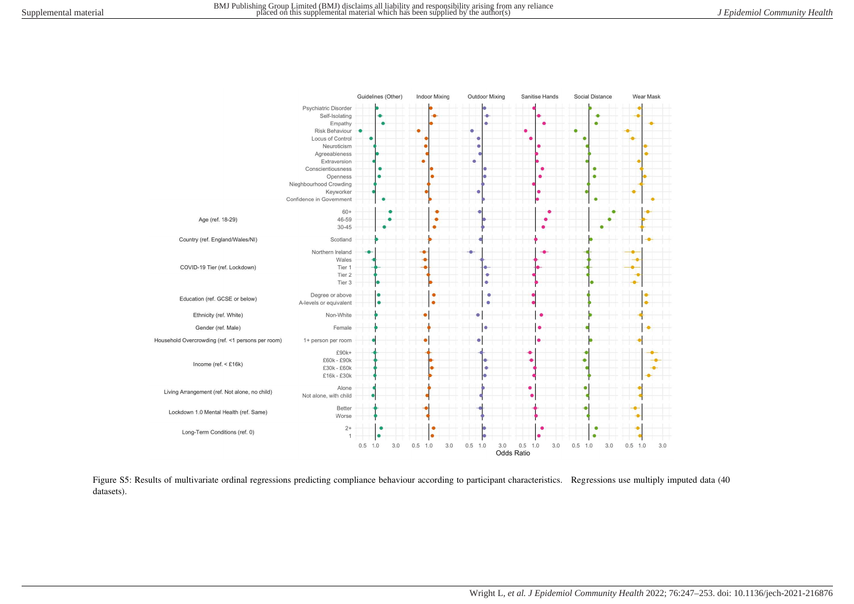

Figure S5: Results of multivariate ordinal regressions predicting compliance behaviour according to participant characteristics. Regressions use multiply imputed data (40 datasets).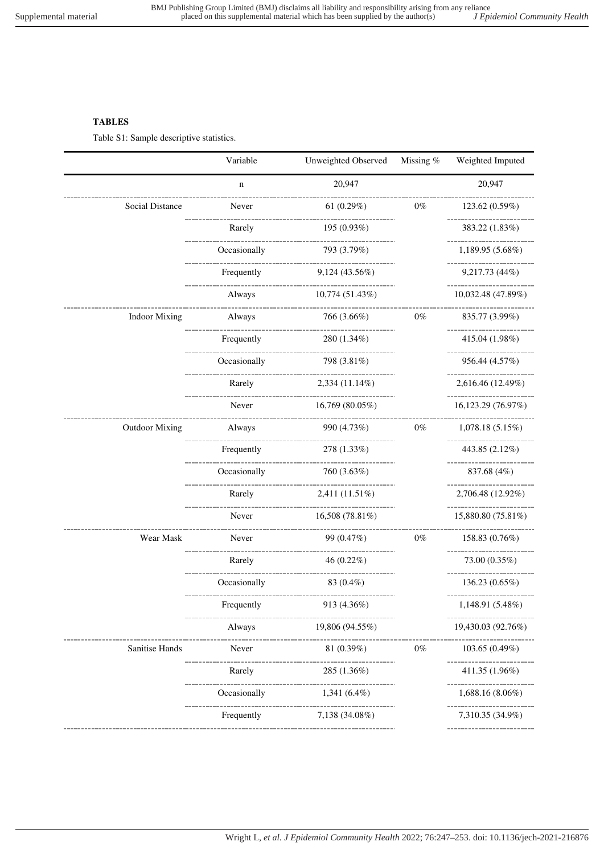## **TABLES**

Table S1: Sample descriptive statistics.

|                        | Variable                            | Unweighted Observed                  | Missing % | Weighted Imputed                    |
|------------------------|-------------------------------------|--------------------------------------|-----------|-------------------------------------|
|                        | $\mathbf n$                         | 20,947                               |           | 20,947                              |
| <b>Social Distance</b> | Never                               | 61 $(0.29%)$                         | $0\%$     | 123.62 (0.59%)                      |
|                        | Rarely                              | 195 (0.93%)                          |           | .<br>383.22 (1.83%)                 |
|                        | Occasionally                        | 793 (3.79%)                          |           | 1,189.95 (5.68%)                    |
|                        | Frequently                          | 9,124(43.56%)                        |           | --------------<br>9,217.73 (44%)    |
|                        | -------------------------<br>Always | 10,774 (51.43%)                      |           | 10,032.48 (47.89%)                  |
| <b>Indoor Mixing</b>   | .<br>Always                         | 766 (3.66%)                          | $0\%$     | 835.77 (3.99%)                      |
|                        | Frequently                          | _____________<br>$280(1.34\%)$       |           | ---------------<br>415.04 (1.98%)   |
|                        | Occasionally                        | 798 (3.81%)                          |           | 956.44 (4.57%)                      |
|                        | Rarely                              | 2,334 (11.14%)                       |           | 2,616.46 (12.49%)                   |
|                        | Never                               | 16,769 (80.05%)                      |           | 16,123.29 (76.97%)                  |
| <b>Outdoor Mixing</b>  | Always                              | 990 (4.73%)                          | $0\%$     | 1,078.18(5.15%)                     |
|                        | Frequently                          | -----------------<br>278 (1.33%)     |           | 443.85 (2.12%)                      |
|                        | Occasionally                        | ---------------<br>760 (3.63%)       |           | 837.68 (4%)                         |
|                        | Rarely                              | 2,411 (11.51%)                       |           | 2,706.48 (12.92%)                   |
|                        | Never                               | 16,508 (78.81%)                      |           | 15,880.80 (75.81%)                  |
| Wear Mask              | Never                               | 99 (0.47%)                           | $0\%$     | 158.83 (0.76%)                      |
|                        | Rarely                              | 46 (0.22%)                           |           | 73.00 (0.35%)                       |
|                        | Occasionally                        | ----------------<br>83 $(0.4\%)$     |           | 136.23 (0.65%)                      |
|                        | Frequently                          | 913 (4.36%)                          |           | ---------------<br>1,148.91 (5.48%) |
|                        | Always                              | -----------------<br>19,806 (94.55%) |           | 19,430.03 (92.76%)                  |
| <b>Sanitise Hands</b>  | Never                               | <br>81 (0.39%)                       | $0\%$     | 103.65(0.49%)                       |
|                        | Rarely                              | 285 (1.36%)                          |           | ______________<br>411.35 (1.96%)    |
|                        | Occasionally                        | $1,341(6.4\%)$                       |           | --------------<br>1,688.16 (8.06%)  |
|                        | Frequently                          | 7,138 (34.08%)                       |           | 7,310.35 (34.9%)                    |
|                        |                                     |                                      |           |                                     |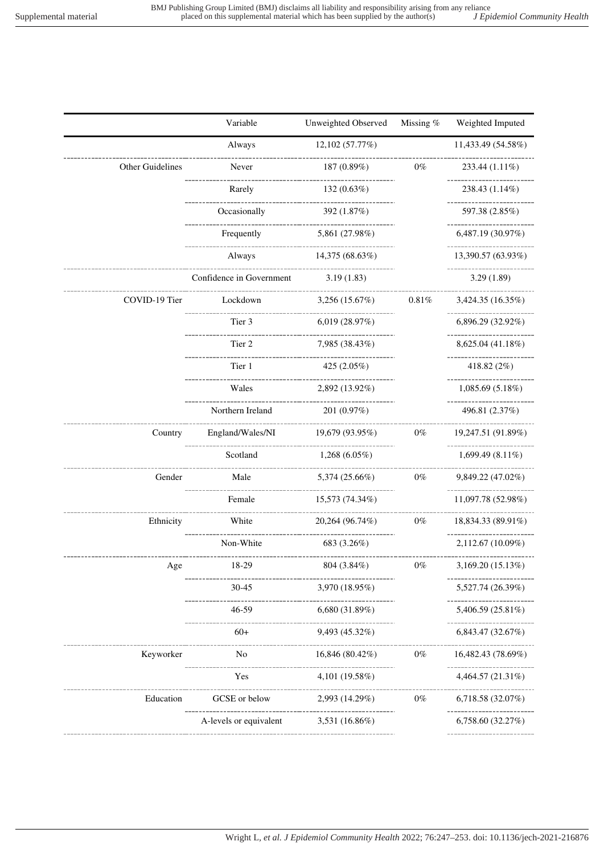|                  | Variable                                                  | Unweighted Observed | Missing % | Weighted Imputed        |
|------------------|-----------------------------------------------------------|---------------------|-----------|-------------------------|
|                  | Always                                                    | 12,102 (57.77%)     |           | 11,433.49 (54.58%)      |
| Other Guidelines | Never                                                     | 187 (0.89%)         | $0\%$     | 233.44 (1.11%)          |
|                  | Rarely                                                    | 132 (0.63%)         |           | 238.43 (1.14%)          |
|                  | -----------------------<br>Occasionally                   | 392 (1.87%)         |           | 597.38 (2.85%)          |
|                  | Frequently                                                | 5,861 (27.98%)      |           | 6,487.19 (30.97%)       |
|                  | ------------------<br>Always                              | 14,375 (68.63%)     |           | 13,390.57 (63.93%)      |
|                  | ----------------<br>Confidence in Government              | 3.19(1.83)          |           | 3.29(1.89)              |
| COVID-19 Tier    | Lockdown                                                  | 3,256(15.67%)       | $0.81\%$  | 3,424.35 (16.35%)<br>.  |
|                  | Tier 3                                                    | 6,019(28.97%)       |           | 6,896.29 (32.92%)       |
|                  | -----------------<br>Tier 2                               | 7,985 (38.43%)      |           | 8,625.04 (41.18%)       |
|                  | --------------------<br>Tier 1                            | 425 $(2.05\%)$      |           | 418.82 (2%)             |
|                  | ------------------<br>Wales                               | 2,892 (13.92%)      |           | 1,085.69(5.18%)         |
|                  | ------------------<br>Northern Ireland                    | 201 (0.97%)         |           | 496.81 (2.37%)          |
| Country          | England/Wales/NI<br>-------------------------             | 19,679 (93.95%)     | $0\%$     | 19,247.51 (91.89%)<br>. |
|                  | Scotland                                                  | $1,268(6.05\%)$     |           | 1,699.49 $(8.11\%)$     |
| Gender           | Male<br>------------------                                | 5,374 (25.66%)      | $0\%$     | 9,849.22 (47.02%)       |
|                  | Female<br>.                                               | 15,573 (74.34%)     |           | 11,097.78 (52.98%)      |
| Ethnicity        | White<br>-----------------                                | 20,264 (96.74%)     | $0\%$     | 18,834.33 (89.91%)      |
|                  | Non-White                                                 | 683 (3.26%)         |           | $2,112.67(10.09\%)$     |
| Age              | 18-29                                                     | 804 (3.84%)         | $0\%$     | 3,169.20 (15.13%)       |
|                  | $30 - 45$                                                 | 3,970 (18.95%)      |           | 5,527.74 (26.39%)       |
|                  | $46 - 59$                                                 | 6,680 (31.89%)      |           | 5,406.59 (25.81%)       |
|                  | $60+$                                                     | 9,493 (45.32%)      |           | 6,843.47 (32.67%)       |
| Keyworker        | ------------------<br>No<br>_____________________         | 16,846 (80.42%)     | $0\%$     | 16,482.43 (78.69%)      |
|                  | Yes                                                       | .<br>4,101 (19.58%) |           | 4,464.57 (21.31%)       |
| Education        | -------------<br>GCSE or below                            | 2,993 (14.29%)      | $0\%$     | 6,718.58 (32.07%)<br>.  |
|                  | -------------------------------<br>A-levels or equivalent | 3,531 (16.86%)      |           | 6,758.60 (32.27%)       |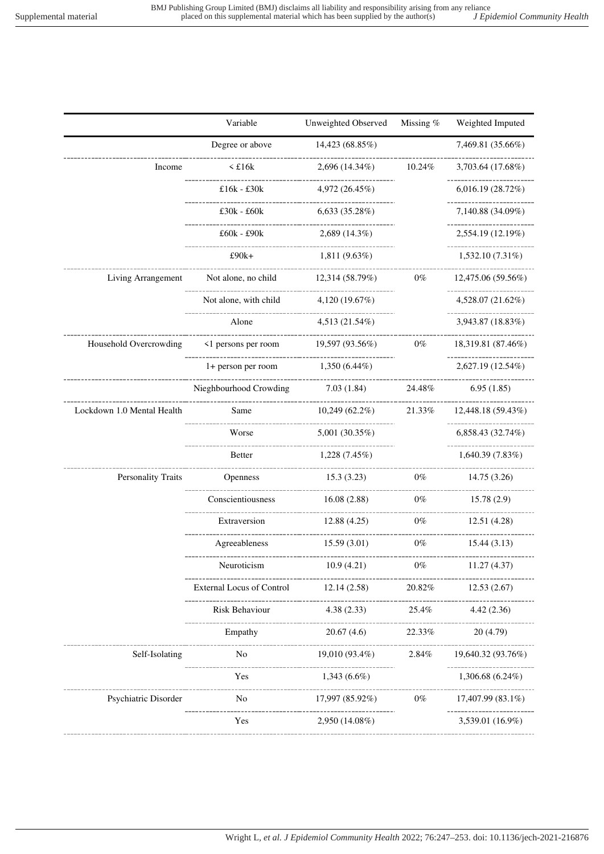|                                                        | Variable                             | Unweighted Observed                                  | Missing %  | Weighted Imputed                                  |
|--------------------------------------------------------|--------------------------------------|------------------------------------------------------|------------|---------------------------------------------------|
|                                                        | Degree or above                      | 14,423 (68.85%)                                      |            | 7,469.81 (35.66%)                                 |
| Income                                                 | $\leq$ £16 $k$                       | $2,696(14.34\%)$                                     | 10.24%     | 3,703.64 (17.68%)                                 |
|                                                        | £16 $k - 230k$                       | 4,972 (26.45%)                                       |            | -----------------<br>6,016.19 (28.72%)            |
|                                                        | $£30k - £60k$                        | 6,633(35.28%)                                        |            | 7,140.88 (34.09%)                                 |
|                                                        | £60k - £90k                          | $2,689(14.3\%)$                                      |            | -------------------<br>2,554.19 (12.19%)          |
|                                                        | -------------<br>£90k+               | $1,811(9.63\%)$                                      |            | ----------------<br>$1,532.10(7.31\%)$            |
| Living Arrangement                                     | Not alone, no child 12,314 (58.79%)  |                                                      | $0\%$      | ---------------------------<br>12,475.06 (59.56%) |
|                                                        | Not alone, with child                | 4,120(19.67%)                                        |            | ------------------<br>4,528.07 (21.62%)           |
|                                                        | Alone                                | 4,513 (21.54%)                                       |            | -------------------<br>3,943.87 (18.83%)          |
| Household Overcrowding                                 | <1 persons per room                  | 19,597 (93.56%)                                      | $0\%$      | 18,319.81 (87.46%)                                |
|                                                        | 1+ person per room $1,350(6.44\%)$   |                                                      |            | 2,627.19 (12.54%)                                 |
|                                                        | Nieghbourhood Crowding               | -----------------------<br>-----------<br>7.03(1.84) | 24.48%     | __________________<br>6.95(1.85)                  |
| Lockdown 1.0 Mental Health                             | Same<br>10,249 (62.2%)               |                                                      |            | 21.33\% 12,448.18 (59.43\%)                       |
|                                                        | Worse                                | 5,001 (30.35%)                                       |            | ------------------<br>6,858.43 (32.74%)           |
|                                                        | <b>Better</b>                        | 1,228 (7.45%)                                        |            | ------------------<br>1,640.39(7.83%)             |
| Personality Traits                                     | <b>Openness</b>                      | 15.3(3.23)                                           | $0\%$      | 14.75 (3.26)                                      |
|                                                        | Conscientiousness                    | ------------------<br>16.08(2.88)                    | .<br>$0\%$ | 15.78(2.9)                                        |
|                                                        | --------------------<br>Extraversion | 12.88(4.25)                                          | $0\%$      | 12.51 (4.28)                                      |
|                                                        | Agreeableness                        | 15.59(3.01)                                          | $0\%$      | 15.44(3.13)                                       |
|                                                        | Neuroticism                          | 10.9(4.21)                                           | $0\%$      | 11.27(4.37)                                       |
|                                                        | <b>External Locus of Control</b>     | 12.14 (2.58)                                         | 20.82%     | 12.53(2.67)                                       |
|                                                        | Risk Behaviour                       | --------------<br>4.38(2.33)                         | 25.4%      | 4.42(2.36)                                        |
|                                                        | Empathy                              | 20.67(4.6)                                           | 22.33%     | 20(4.79)                                          |
| Self-Isolating                                         | N <sub>o</sub>                       | 19,010 (93.4%)                                       | $2.84\%$   | 19,640.32 (93.76%)                                |
|                                                        | Yes                                  | --------<br>$1,343(6.6\%)$                           |            | $1,306.68(6.24\%)$                                |
| ------------------------------<br>Psychiatric Disorder | _____________________<br>No n        | 17,997 (85.92%)                                      | $0\%$      | 17,407.99 (83.1%)                                 |
|                                                        | Yes                                  | 2,950 (14.08%)                                       |            | ------------------<br>3,539.01 (16.9%)            |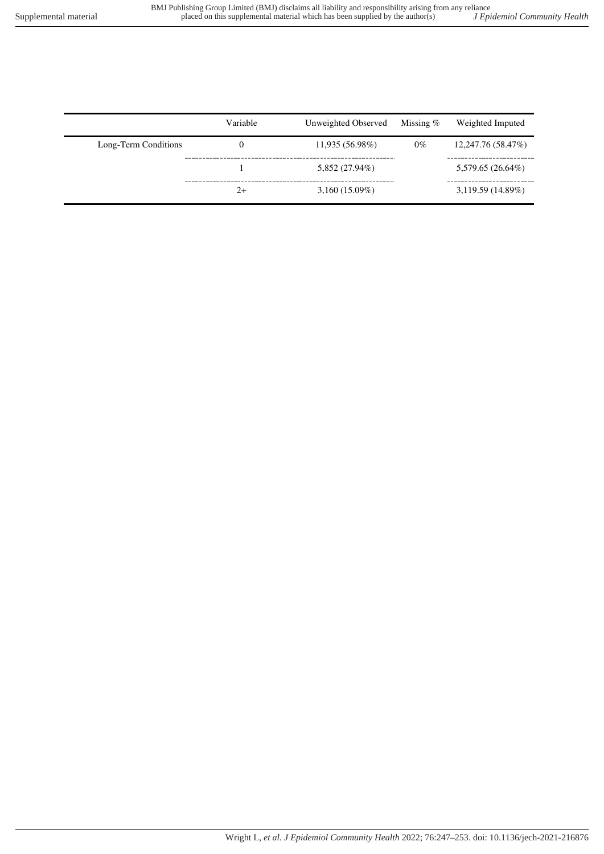|                      | Variable | Unweighted Observed | Missing $%$ | Weighted Imputed   |
|----------------------|----------|---------------------|-------------|--------------------|
| Long-Term Conditions | 0        | 11,935 (56.98%)     | $0\%$       | 12,247.76 (58.47%) |
|                      |          | 5,852 (27.94%)      |             | 5,579.65 (26.64%)  |
|                      | $2+$     | $3,160(15.09\%)$    |             | 3,119.59(14.89%)   |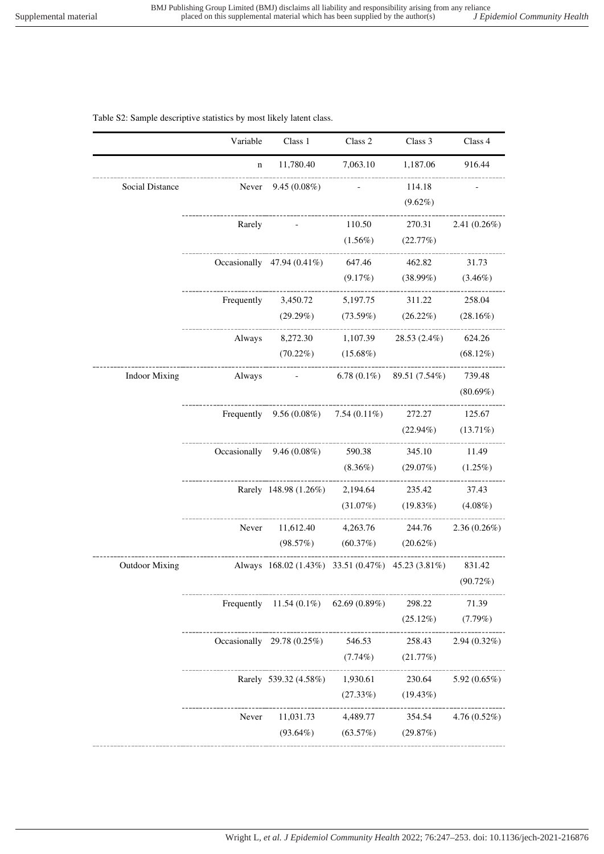## Table S2: Sample descriptive statistics by most likely latent class.

|                       | Variable                               | Class 1                                           | Class 2               | Class 3                             | Class 4         |
|-----------------------|----------------------------------------|---------------------------------------------------|-----------------------|-------------------------------------|-----------------|
|                       | $\mathbf n$                            | 11,780.40                                         | 7,063.10              | 1,187.06                            | 916.44          |
| Social Distance       | _____________________________<br>Never | $9.45(0.08\%)$                                    |                       | 114.18                              |                 |
|                       |                                        |                                                   |                       | $(9.62\%)$                          |                 |
|                       | Rarely                                 |                                                   | 110.50                | 270.31                              | $2.41(0.26\%)$  |
|                       |                                        |                                                   | $(1.56\%)$            | (22.77%)                            |                 |
|                       |                                        | Occasionally $47.94(0.41\%)$                      | 647.46                | 462.82                              | 31.73           |
|                       |                                        |                                                   | $(9.17\%)$            | $(38.99\%)$ $(3.46\%)$              |                 |
|                       |                                        | Frequently $3,450.72$                             | 5,197.75              | 311.22                              | 258.04          |
|                       |                                        | (29.29%)<br>---------------------                 | ___________           | $(73.59\%)$ $(26.22\%)$ $(28.16\%)$ |                 |
|                       | Always                                 |                                                   | 8,272.30 1,107.39     | 28.53 (2.4%) 624.26                 |                 |
|                       | -------------------------------------- | $(70.22\%)$ $(15.68\%)$                           |                       |                                     | $(68.12\%)$     |
| <b>Indoor Mixing</b>  | Always                                 | <b>Contract Contract</b>                          |                       | 6.78 $(0.1\%)$ 89.51 $(7.54\%)$     | 739.48          |
|                       |                                        |                                                   |                       |                                     | $(80.69\%)$     |
|                       |                                        | Frequently $9.56(0.08\%)$ 7.54 $(0.11\%)$         |                       | 272.27                              | 125.67          |
|                       |                                        |                                                   |                       | $(22.94\%)$                         | $(13.71\%)$     |
|                       |                                        | Occasionally $9.46(0.08\%)$                       | 590.38                | 345.10                              | 11.49           |
|                       |                                        |                                                   | $(8.36\%)$            | $(29.07\%)$ $(1.25\%)$              |                 |
|                       |                                        | Rarely 148.98 (1.26%) 2,194.64 235.42             |                       |                                     | 37.43           |
|                       |                                        |                                                   | $(31.07\%)$           | $(19.83\%)$ $(4.08\%)$              |                 |
|                       | Never                                  | 11,612.40                                         |                       | 4,263.76 244.76                     | $2.36(0.26\%)$  |
|                       |                                        | (98.57%)                                          | $(60.37%)$ $(20.62%)$ |                                     |                 |
| <b>Outdoor Mixing</b> |                                        | Always 168.02 (1.43%) 33.51 (0.47%) 45.23 (3.81%) |                       |                                     | 831.42          |
|                       |                                        |                                                   |                       |                                     | (90.72%)        |
|                       |                                        | Frequently 11.54 $(0.1\%)$ 62.69 $(0.89\%)$       |                       | 298.22                              | 71.39           |
|                       |                                        |                                                   |                       | (25.12%)                            | (7.79%)         |
|                       |                                        | Occasionally $29.78(0.25\%)$                      | 546.53                | 258.43                              | $2.94(0.32\%)$  |
|                       |                                        |                                                   | $(7.74\%)$            | (21.77%)                            |                 |
|                       |                                        | Rarely 539.32 (4.58%)                             | 1,930.61              | 230.64                              | 5.92 (0.65%)    |
|                       |                                        |                                                   | (27.33%)              | $(19.43\%)$                         |                 |
|                       | Never                                  | 11,031.73                                         | 4,489.77              | 354.54                              | 4.76 $(0.52\%)$ |
|                       |                                        | $(93.64\%)$                                       | (63.57%)              | (29.87%)                            |                 |
|                       |                                        |                                                   |                       |                                     |                 |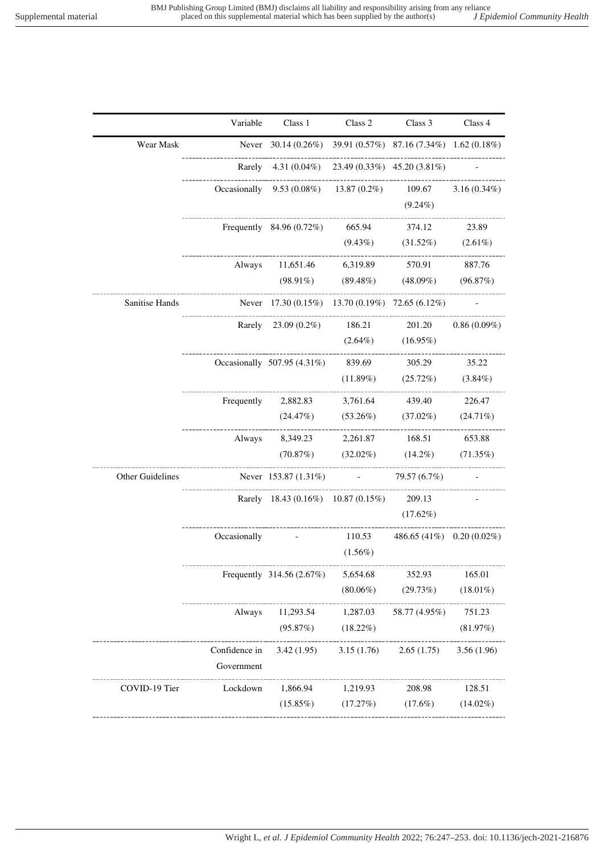|                  | Variable      | Class 1                                                                  | Class 2                                         | Class 3                            | Class 4        |
|------------------|---------------|--------------------------------------------------------------------------|-------------------------------------------------|------------------------------------|----------------|
| Wear Mask        |               | Never $30.14 (0.26\%)$ $39.91 (0.57\%)$ $87.16 (7.34\%)$ $1.62 (0.18\%)$ |                                                 |                                    |                |
|                  |               | Rarely $4.31(0.04\%)$ $23.49(0.33\%)$ $45.20(3.81\%)$                    |                                                 |                                    |                |
|                  |               | Occasionally $9.53(0.08\%)$ $13.87(0.2\%)$ $109.67$ $3.16(0.34\%)$       |                                                 |                                    |                |
|                  |               |                                                                          |                                                 | $(9.24\%)$                         |                |
|                  |               | Frequently 84.96 (0.72%) 665.94 374.12 23.89                             |                                                 |                                    |                |
|                  |               |                                                                          |                                                 | $(9.43\%)$ $(31.52\%)$ $(2.61\%)$  |                |
|                  |               | Always 11,651.46 6,319.89 570.91 887.76                                  |                                                 |                                    |                |
|                  |               |                                                                          | $(98.91\%)$ $(89.48\%)$ $(48.09\%)$ $(96.87\%)$ |                                    |                |
| Sanitise Hands   |               | Never 17.30 (0.15%) 13.70 (0.19%) 72.65 (6.12%)                          |                                                 |                                    |                |
|                  |               | Rarely 23.09 (0.2%) 186.21 201.20                                        |                                                 |                                    | $0.86(0.09\%)$ |
|                  |               |                                                                          |                                                 | $(2.64\%)$ $(16.95\%)$             |                |
|                  |               | Occasionally 507.95 (4.31%) 839.69 305.29                                |                                                 |                                    | 35.22          |
|                  |               |                                                                          |                                                 | $(11.89\%)$ $(25.72\%)$ $(3.84\%)$ |                |
|                  |               | Frequently 2,882.83 3,761.64 439.40 226.47                               |                                                 |                                    |                |
|                  |               |                                                                          | $(24.47%)$ $(53.26%)$ $(37.02%)$ $(24.71%)$     |                                    |                |
|                  |               | Always 8,349.23 2,261.87 168.51 653.88                                   |                                                 |                                    |                |
|                  |               |                                                                          | (70.87%) (32.02%) (14.2%) (71.35%)              |                                    |                |
| Other Guidelines |               | Never $153.87 (1.31\%)$ - 79.57 (6.7%)                                   |                                                 |                                    |                |
|                  |               | Rarely 18.43 (0.16%) 10.87 (0.15%) 209.13                                |                                                 |                                    |                |
|                  |               |                                                                          |                                                 | $(17.62\%)$                        |                |
|                  |               | Occasionally - $110.53$ 486.65 (41%) 0.20 (0.02%)                        |                                                 |                                    |                |
|                  |               |                                                                          | $(1.56\%)$                                      |                                    |                |
|                  |               | Frequently 314.56 (2.67%) 5,654.68 352.93 165.01                         |                                                 | --------------------------------   |                |
|                  |               |                                                                          |                                                 | $(80.06\%)$ $(29.73\%)$            | $(18.01\%)$    |
|                  | Always        |                                                                          | $11,293.54$ $1,287.03$ $58.77(4.95\%)$          |                                    | 751.23         |
|                  |               | $(95.87%)$ $(18.22%)$                                                    |                                                 |                                    | (81.97%)       |
|                  | Confidence in |                                                                          | $3.42(1.95)$ $3.15(1.76)$ $2.65(1.75)$          |                                    | 3.56(1.96)     |
|                  | Government    |                                                                          |                                                 |                                    |                |
| COVID-19 Tier    | Lockdown      |                                                                          | 1,866.94 1,219.93 208.98                        |                                    | 128.51         |
|                  |               |                                                                          | $(15.85\%)$ $(17.27\%)$ $(17.6\%)$ $(14.02\%)$  |                                    |                |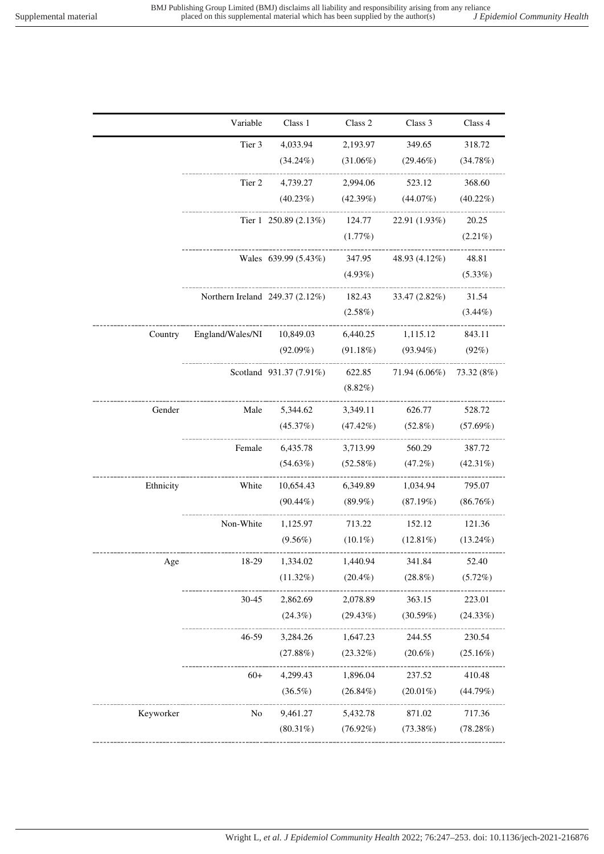$- - - - - - - - - -$ 

----------

-----------

-----------

|           | Variable                        | Class 1                    | Class 2     | Class 3       | Class 4     |
|-----------|---------------------------------|----------------------------|-------------|---------------|-------------|
|           | Tier 3                          | 4,033.94                   | 2,193.97    | 349.65        | 318.72      |
|           |                                 | $(34.24\%)$                | $(31.06\%)$ | $(29.46\%)$   | (34.78%)    |
|           | Tier 2                          | 4,739.27                   | 2,994.06    | 523.12        | 368.60      |
|           |                                 | $(40.23\%)$                | (42.39%)    | (44.07%)      | $(40.22\%)$ |
|           |                                 | Tier $1\;250.89\,(2.13\%)$ | 124.77      | 22.91 (1.93%) | 20.25       |
|           |                                 |                            | (1.77%)     |               | $(2.21\%)$  |
|           |                                 | Wales 639.99 (5.43%)       | 347.95      | 48.93 (4.12%) | 48.81       |
|           |                                 |                            | $(4.93\%)$  |               | $(5.33\%)$  |
|           | Northern Ireland 249.37 (2.12%) |                            | 182.43      | 33.47 (2.82%) | 31.54       |
|           |                                 |                            | $(2.58\%)$  |               | $(3.44\%)$  |
| Country   | England/Wales/NI                | 10,849.03                  | 6,440.25    | 1,115.12      | 843.11      |
|           |                                 | $(92.09\%)$                | (91.18%)    | $(93.94\%)$   | (92%)       |
|           |                                 | Scotland 931.37 (7.91%)    | 622.85      | 71.94 (6.06%) | 73.32 (8%)  |
|           |                                 |                            | $(8.82\%)$  |               |             |
| Gender    | Male                            | 5,344.62                   | 3,349.11    | 626.77        | 528.72      |
|           |                                 | (45.37%)                   | $(47.42\%)$ | $(52.8\%)$    | $(57.69\%)$ |
|           | Female                          | 6,435.78                   | 3,713.99    | 560.29        | 387.72      |
|           |                                 | $(54.63\%)$                | (52.58%)    | $(47.2\%)$    | $(42.31\%)$ |
| Ethnicity | White                           | 10,654.43                  | 6,349.89    | 1,034.94      | 795.07      |
|           |                                 | $(90.44\%)$                | $(89.9\%)$  | (87.19%)      | $(86.76\%)$ |
|           | Non-White                       | 1,125.97                   | 713.22      | 152.12        | 121.36      |
|           |                                 | $(9.56\%)$                 | $(10.1\%)$  | $(12.81\%)$   | $(13.24\%)$ |
| Age       | 18-29                           | 1,334.02                   | 1,440.94    | 341.84        | 52.40       |
|           |                                 | $(11.32\%)$                | $(20.4\%)$  | $(28.8\%)$    | $(5.72\%)$  |
|           | $30 - 45$                       | 2,862.69                   | 2,078.89    | 363.15        | 223.01      |
|           |                                 | $(24.3\%)$                 | (29.43%)    | (30.59%)      | (24.33%)    |

46-59 3,284.26

60+ 4,299.43

Keyworker No 9,461.27

(27.88%)

(36.5%)

(80.31%)

1,647.23 (23.32%)

1,896.04 (26.84%)

5,432.78 (76.92%)

244.55 (20.6%)

237.52 (20.01%)

871.02 (73.38%)

230.54 (25.16%)

410.48 (44.79%)

\_\_\_\_\_\_\_\_

717.36 (78.28%)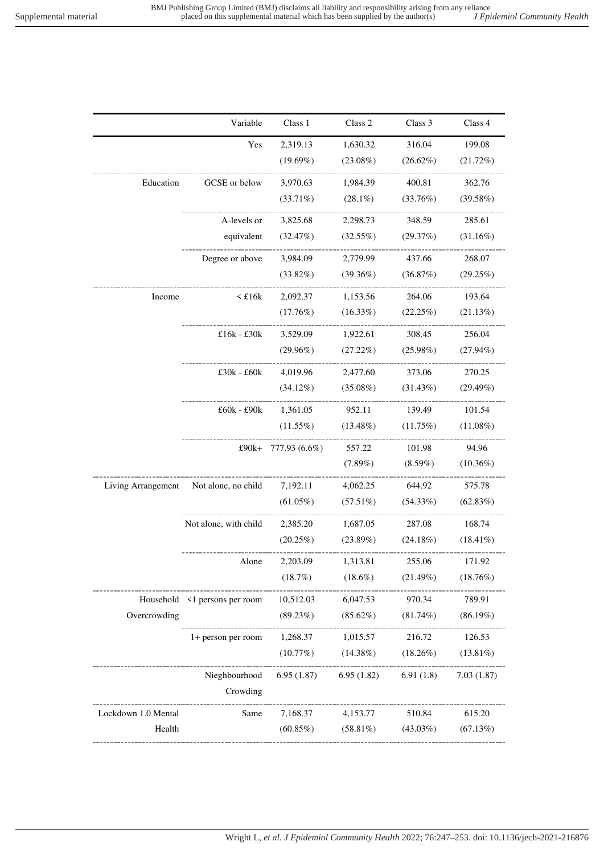|                     | Variable                          | Class 1                | Class 2         | Class 3     | Class 4     |
|---------------------|-----------------------------------|------------------------|-----------------|-------------|-------------|
|                     | Yes                               | 2,319.13               | 1,630.32        | 316.04      | 199.08      |
|                     |                                   | $(19.69\%)$            | $(23.08\%)$     | $(26.62\%)$ | $(21.72\%)$ |
| Education           | GCSE or below                     | 3,970.63               | 1,984.39        | 400.81      | 362.76      |
|                     |                                   | $(33.71\%)$            | $(28.1\%)$      | (33.76%)    | (39.58%)    |
|                     | A-levels or                       | 3,825.68               | 2,298.73        | 348.59      | 285.61      |
|                     | equivalent                        | (32.47%)               | (32.55%)        | (29.37%)    | (31.16%)    |
|                     | Degree or above                   | 3,984.09               | 2,779.99        | 437.66      | 268.07      |
|                     |                                   | $(33.82\%)$            | $(39.36\%)$     | (36.87%)    | (29.25%)    |
| Income              | $\leq$ £16 $k$                    | 2,092.37               | 1,153.56        | 264.06      | 193.64      |
|                     |                                   | (17.76%)               | $(16.33\%)$     | $(22.25\%)$ | (21.13%)    |
|                     | £16 $k - £30k$                    | 3,529.09               | 1,922.61 308.45 |             | 256.04      |
|                     |                                   | $(29.96\%)$            | $(27.22\%)$     | $(25.98\%)$ | $(27.94\%)$ |
|                     | $£30k - £60k$                     | 4,019.96               | 2,477.60        | 373.06      | 270.25      |
|                     |                                   | $(34.12\%)$            | $(35.08\%)$     | $(31.43\%)$ | $(29.49\%)$ |
|                     | £60k - £90k 1,361.05              |                        | 952.11          | 139.49      | 101.54      |
|                     |                                   | $(11.55\%)$            | $(13.48\%)$     | (11.75%)    | $(11.08\%)$ |
|                     |                                   | £90k+ 777.93 $(6.6\%)$ | 557.22          | 101.98      | 94.96       |
|                     |                                   |                        | $(7.89\%)$      | $(8.59\%)$  | $(10.36\%)$ |
| Living Arrangement  | Not alone, no child               | 7,192.11               | 4,062.25        | 644.92      | 575.78      |
|                     |                                   | $(61.05\%)$            | $(57.51\%)$     | $(54.33\%)$ | $(62.83\%)$ |
|                     | Not alone, with child             | 2,385.20               | 1,687.05        | 287.08      | 168.74      |
|                     |                                   | $(20.25\%)$            | (23.89%)        | $(24.18\%)$ | $(18.41\%)$ |
|                     | Alone                             | 2,203.09               | 1,313.81        | 255.06      | 171.92      |
|                     |                                   | (18.7%)                | $(18.6\%)$      | $(21.49\%)$ | (18.76%)    |
|                     | Household <1 persons per room     | 10,512.03              | 6,047.53        | 970.34      | 789.91      |
| Overcrowding        | --------------------------------- | (89.23%)               | $(85.62\%)$     | $(81.74\%)$ | $(86.19\%)$ |
|                     | 1+ person per room                | 1,268.37               | 1,015.57        | 216.72      | 126.53      |
|                     | ______________                    | (10.77%)               | $(14.38\%)$     | $(18.26\%)$ | $(13.81\%)$ |
|                     | Nieghbourhood                     | 6.95(1.87)             | 6.95(1.82)      | 6.91(1.8)   | 7.03(1.87)  |
|                     | Crowding                          |                        |                 |             |             |
| Lockdown 1.0 Mental | Same                              | 7,168.37               | 4,153.77        | 510.84      | 615.20      |
| Health              |                                   | $(60.85\%)$            | $(58.81\%)$     | $(43.03\%)$ | (67.13%)    |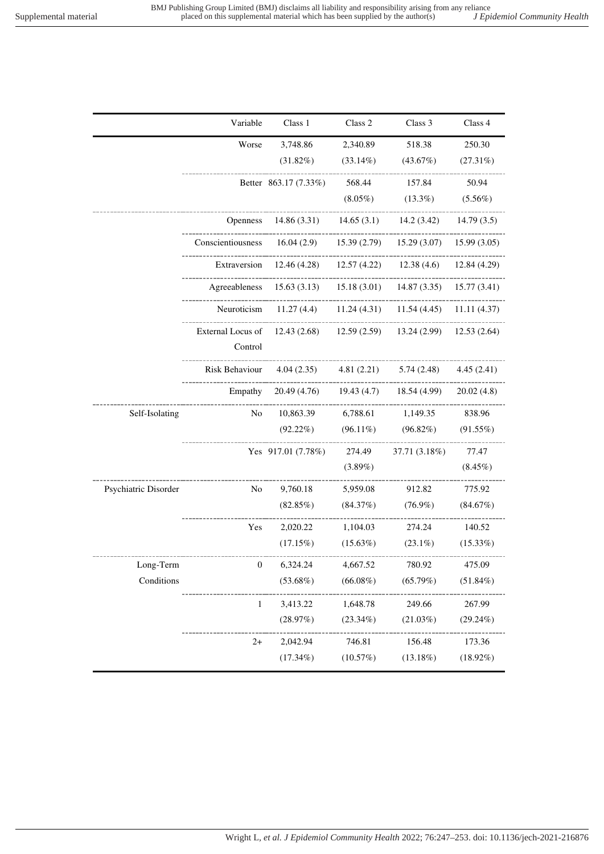|                      | Variable                     | Class 1                                                                 | Class 2      | Class 3                  | Class 4      |
|----------------------|------------------------------|-------------------------------------------------------------------------|--------------|--------------------------|--------------|
|                      | Worse                        | 3,748.86                                                                | 2,340.89     | 518.38                   | 250.30       |
|                      |                              | $(31.82\%)$                                                             | $(33.14\%)$  | (43.67%)                 | (27.31%)     |
|                      |                              | Better 863.17 (7.33%)                                                   | 568.44       | 157.84                   | 50.94        |
|                      |                              |                                                                         | $(8.05\%)$   | $(13.3\%)$               | $(5.56\%)$   |
|                      | <b>Openness</b>              | 14.86(3.31)                                                             | 14.65(3.1)   | 14.2(3.42)               | 14.79(3.5)   |
|                      | Conscientiousness            | 16.04(2.9)                                                              | 15.39(2.79)  | 15.29(3.07)              | 15.99(3.05)  |
|                      |                              | Extraversion $12.46(4.28)$                                              |              | $12.57(4.22)$ 12.38(4.6) | 12.84 (4.29) |
|                      |                              | Agreeableness 15.63 (3.13) 15.18 (3.01) 14.87 (3.35)<br>--------------- |              |                          | 15.77(3.41)  |
|                      | Neuroticism                  | 11.27(4.4)                                                              | 11.24 (4.31) | 11.54 (4.45)             | 11.11(4.37)  |
|                      | External Locus of<br>Control | 12.43(2.68)                                                             | 12.59(2.59)  | 13.24 (2.99)             | 12.53(2.64)  |
|                      | Risk Behaviour               | 4.04(2.35)                                                              | 4.81(2.21)   | 5.74 (2.48)              | 4.45(2.41)   |
|                      | Empathy                      | 20.49 (4.76)                                                            | 19.43(4.7)   | 18.54 (4.99)             | 20.02(4.8)   |
| Self-Isolating       | No                           | 10,863.39                                                               | 6,788.61     | 1,149.35                 | 838.96       |
|                      |                              | $(92.22\%)$                                                             | $(96.11\%)$  | $(96.82\%)$              | (91.55%)     |
|                      |                              | Yes 917.01 (7.78%)                                                      | 274.49       | 37.71 (3.18%)            | 77.47        |
|                      |                              |                                                                         | $(3.89\%)$   |                          | $(8.45\%)$   |
| Psychiatric Disorder | No                           | 9,760.18                                                                | 5,959.08     | 912.82                   | 775.92       |
|                      |                              | (82.85%)                                                                | (84.37%)     | $(76.9\%)$               | (84.67%)     |
|                      | Yes                          | 2,020.22                                                                | 1,104.03     | 274.24                   | 140.52       |
|                      |                              | (17.15%)                                                                | $(15.63\%)$  | $(23.1\%)$               | $(15.33\%)$  |
| Long-Term            | $\boldsymbol{0}$             | 6,324.24                                                                | 4,667.52     | 780.92                   | 475.09       |
| Conditions           |                              | $(53.68\%)$                                                             | $(66.08\%)$  | (65.79%)                 | $(51.84\%)$  |
|                      | 1                            | 3,413.22                                                                | 1,648.78     | 249.66                   | 267.99       |
|                      |                              | (28.97%)                                                                | $(23.34\%)$  | (21.03%)                 | $(29.24\%)$  |
|                      | $2+$                         | 2,042.94                                                                | 746.81       | 156.48                   | 173.36       |
|                      |                              | $(17.34\%)$                                                             | (10.57%)     | (13.18%)                 | $(18.92\%)$  |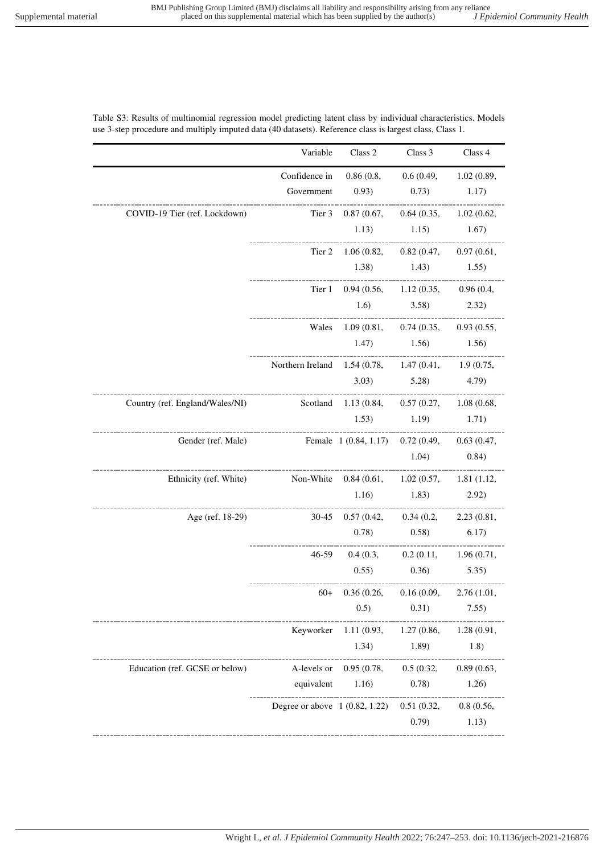## Table S3: Results of multinomial regression model predicting latent class by individual characteristics. Models use 3-step procedure and multiply imputed data (40 datasets). Reference class is largest class, Class 1.

|                                 | Variable                                            | Class 2                                      | Class 3                           | Class 4    |
|---------------------------------|-----------------------------------------------------|----------------------------------------------|-----------------------------------|------------|
|                                 | Confidence in                                       |                                              | 0.86(0.8, 0.6(0.49, 1.02(0.89,    |            |
|                                 | Government                                          | 0.93)                                        | $(0.73)$ 1.17)                    |            |
| COVID-19 Tier (ref. Lockdown)   | Tier 3                                              |                                              | 0.87(0.67, 0.64(0.35, 1.02(0.62,  |            |
|                                 |                                                     | 1.13)                                        | $1.15$ $1.67$                     |            |
|                                 | Tier 2                                              |                                              | 1.06(0.82, 0.82(0.47, 0.97(0.61,  |            |
|                                 |                                                     |                                              | $1.38$ $1.43$ $1.55$              |            |
|                                 |                                                     | Tier 1 0.94 (0.56, 1.12 (0.35, 0.96 (0.4,    |                                   |            |
|                                 |                                                     |                                              | $1.6)$ $3.58)$ $2.32)$            |            |
|                                 |                                                     | Wales 1.09 (0.81, 0.74 (0.35, 0.93 (0.55,    |                                   |            |
|                                 |                                                     |                                              | $1.47$ $1.56$ $1.56$              |            |
|                                 | Northern Ireland 1.54 (0.78, 1.47 (0.41, 1.9 (0.75, |                                              |                                   |            |
|                                 |                                                     |                                              | $(3.03)$ $(5.28)$ $(4.79)$        |            |
| Country (ref. England/Wales/NI) |                                                     | Scotland 1.13 (0.84, 0.57 (0.27, 1.08 (0.68, |                                   |            |
|                                 |                                                     | $1.53$ $1.19$ $1.71$                         |                                   |            |
| Gender (ref. Male)              | Female 1 (0.84, 1.17) 0.72 (0.49, 0.63 (0.47,       |                                              |                                   |            |
|                                 |                                                     |                                              | $1.04)$ 0.84)                     |            |
| Ethnicity (ref. White)          | Non-White 0.84 (0.61, 1.02 (0.57, 1.81 (1.12,       |                                              |                                   |            |
|                                 |                                                     |                                              | $1.16)$ $1.83)$                   | 2.92)      |
| Age (ref. 18-29)                | -----------------------                             | 30-45 0.57 (0.42, 0.34 (0.2, 2.23 (0.81,     |                                   |            |
|                                 |                                                     |                                              | $(0.78)$ $(0.58)$ $(6.17)$        |            |
|                                 |                                                     | 46-59 0.4 (0.3, 0.2 (0.11, 1.96 (0.71,       | --------------------------------- |            |
|                                 |                                                     |                                              | $(0.55)$ $(0.36)$ $(5.35)$        |            |
|                                 | $60+$                                               |                                              | 0.36(0.26, 0.16(0.09, 2.76(1.01,  |            |
|                                 |                                                     | 0.5)                                         | 0.31)                             | 7.55)      |
|                                 | Keyworker                                           | 1.11(0.93,                                   | 1.27(0.86,                        | 1.28(0.91, |
|                                 |                                                     | 1.34)                                        | 1.89)                             | 1.8)       |
| Education (ref. GCSE or below)  | A-levels or                                         | 0.95(0.78,                                   | 0.5(0.32,                         | 0.89(0.63, |
|                                 | equivalent                                          | 1.16)                                        | 0.78)                             | 1.26)      |
|                                 | Degree or above $1 (0.82, 1.22)$                    |                                              | 0.51(0.32,                        | 0.8(0.56,  |
|                                 |                                                     |                                              |                                   |            |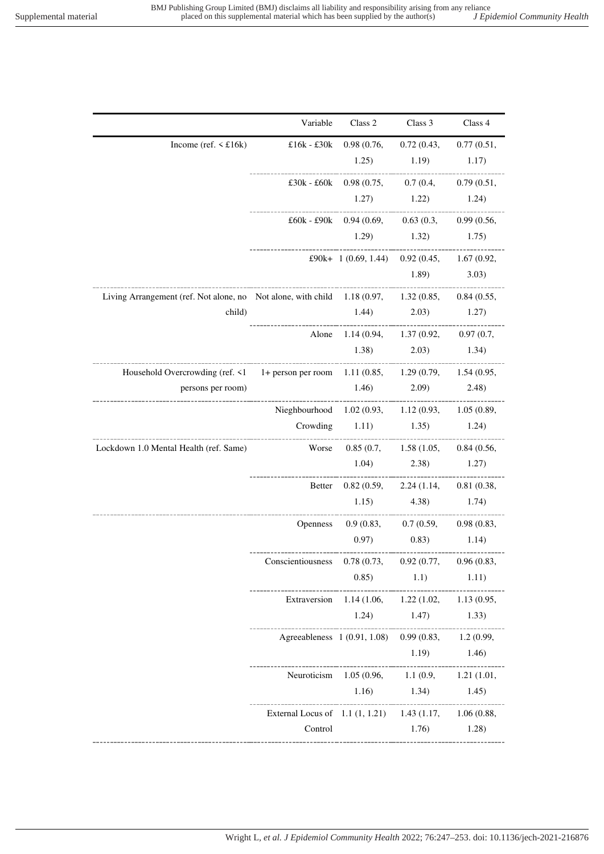|                                                                                                  | Variable                                                | Class 2                                             | Class 3                         | Class 4       |
|--------------------------------------------------------------------------------------------------|---------------------------------------------------------|-----------------------------------------------------|---------------------------------|---------------|
| Income (ref. $\leq$ £16k)                                                                        |                                                         | £16k - £30k 0.98 (0.76, 0.72 (0.43, 0.77 (0.51,     |                                 |               |
|                                                                                                  |                                                         |                                                     | $1.25$ $1.19$ $1.17$            |               |
|                                                                                                  |                                                         | £30k - £60k 0.98 (0.75, 0.7 (0.4, 0.79 (0.51,       |                                 |               |
|                                                                                                  |                                                         | $1.27$ $1.22$ $1.24$                                |                                 |               |
|                                                                                                  |                                                         | £60k - £90k 0.94 (0.69, 0.63 (0.3, 0.99 (0.56,      |                                 |               |
|                                                                                                  |                                                         |                                                     | $1.29$ $1.32$ $1.75$            |               |
|                                                                                                  |                                                         | £90k+ 1 (0.69, 1.44) 0.92 (0.45, 1.67 (0.92,        |                                 |               |
|                                                                                                  |                                                         |                                                     | 1.89)                           | 3.03)         |
| Living Arrangement (ref. Not alone, no Not alone, with child 1.18 (0.97, 1.32 (0.85, 0.84 (0.55, |                                                         |                                                     |                                 |               |
| child)                                                                                           |                                                         | $1.44$ $2.03$ $1.27$                                |                                 |               |
|                                                                                                  |                                                         | Alone 1.14 (0.94, 1.37 (0.92, 0.97 (0.7,            |                                 |               |
|                                                                                                  |                                                         |                                                     | $(1.38)$ $(2.03)$ $(1.34)$      |               |
| Household Overcrowding (ref. <1 1+ person per room 1.11 (0.85, 1.29 (0.79, 1.54 (0.95,           |                                                         |                                                     |                                 |               |
| persons per room)                                                                                |                                                         | $1.46)$ $2.09)$ $2.48)$                             |                                 |               |
|                                                                                                  | Nieghbourhood 1.02 (0.93, 1.12 (0.93, 1.05 (0.89,       |                                                     |                                 |               |
|                                                                                                  |                                                         | Crowding 1.11) 1.35 1.24                            |                                 |               |
| Lockdown 1.0 Mental Health (ref. Same)                                                           | Worse                                                   |                                                     | 0.85(0.7, 1.58(1.05, 0.84(0.56, |               |
|                                                                                                  |                                                         | $1.04$ $2.38$ $1.27$                                |                                 |               |
|                                                                                                  |                                                         | Better 0.82 (0.59, 2.24 (1.14, 0.81 (0.38,          |                                 |               |
|                                                                                                  |                                                         | $1.15$ $4.38$ $1.74$                                |                                 |               |
|                                                                                                  |                                                         | Openness 0.9 (0.83, 0.7 (0.59, 0.98 (0.83,          |                                 |               |
|                                                                                                  |                                                         |                                                     | $(0.97)$ $(0.83)$ $(1.14)$      |               |
|                                                                                                  | Conscientiousness 0.78 (0.73, 0.92 (0.77, 0.96 (0.83,   |                                                     |                                 |               |
|                                                                                                  |                                                         | 0.85)                                               | 1.1)                            | 1.11)         |
|                                                                                                  |                                                         | Extraversion 1.14 (1.06, 1.22 (1.02, 1.13 (0.95,    |                                 |               |
|                                                                                                  |                                                         |                                                     | $1.24$ $1.47$ $1.33$            |               |
|                                                                                                  |                                                         | Agreeableness 1 (0.91, 1.08) 0.99 (0.83, 1.2 (0.99, |                                 |               |
|                                                                                                  |                                                         |                                                     |                                 | $1.19$ $1.46$ |
|                                                                                                  |                                                         | Neuroticism 1.05 (0.96, 1.1 (0.9, 1.21 (1.01,       |                                 |               |
|                                                                                                  |                                                         |                                                     | 1.16) $1.34$ 1.45               |               |
|                                                                                                  | External Locus of 1.1 (1, 1.21) 1.43 (1.17, 1.06 (0.88, |                                                     | ------------------------------  |               |
|                                                                                                  | Control                                                 |                                                     | 1.76)                           | 1.28)         |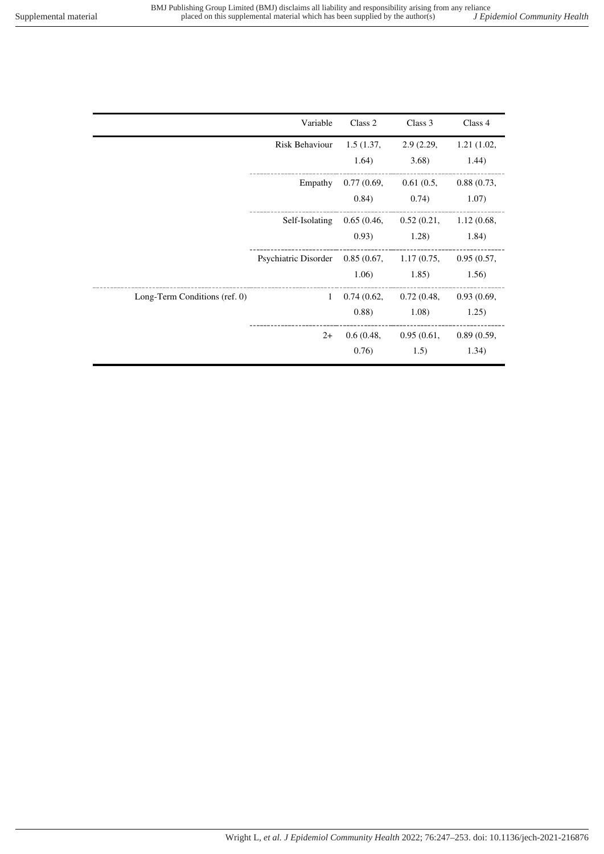|  | J Epidemiol Community Health |  |
|--|------------------------------|--|
|  |                              |  |

|                               | Variable                                                 | Class 2 | Class 3                                                     | Class 4 |
|-------------------------------|----------------------------------------------------------|---------|-------------------------------------------------------------|---------|
|                               | Risk Behaviour 1.5 (1.37, 2.9 (2.29, 1.21 (1.02,         |         |                                                             |         |
|                               |                                                          | 1.64)   | 3.68                                                        | 1.44)   |
|                               |                                                          |         | Empathy $0.77(0.69, 0.61(0.5, 0.88(0.73,$                   |         |
|                               |                                                          |         | $(0.84)$ $(0.74)$ $(1.07)$                                  |         |
|                               |                                                          |         | Self-Isolating 0.65 (0.46, 0.52 (0.21, 1.12 (0.68,          |         |
|                               |                                                          |         | $(0.93)$ $(1.28)$ $(1.84)$                                  |         |
|                               | Psychiatric Disorder 0.85 (0.67, 1.17 (0.75, 0.95 (0.57, |         |                                                             |         |
|                               |                                                          |         | $1.06$ $1.85$ $1.56$                                        |         |
| Long-Term Conditions (ref. 0) |                                                          |         | $1\quad 0.74\ (0.62, \quad 0.72\ (0.48, \quad 0.93\ (0.69,$ |         |
|                               |                                                          |         | $(0.88)$ $(1.08)$ $(1.25)$                                  |         |
|                               | $2+$                                                     |         | 0.6(0.48, 0.95(0.61, 0.89(0.59,                             |         |
|                               |                                                          | 0.76)   | 1.5)                                                        | 1.34)   |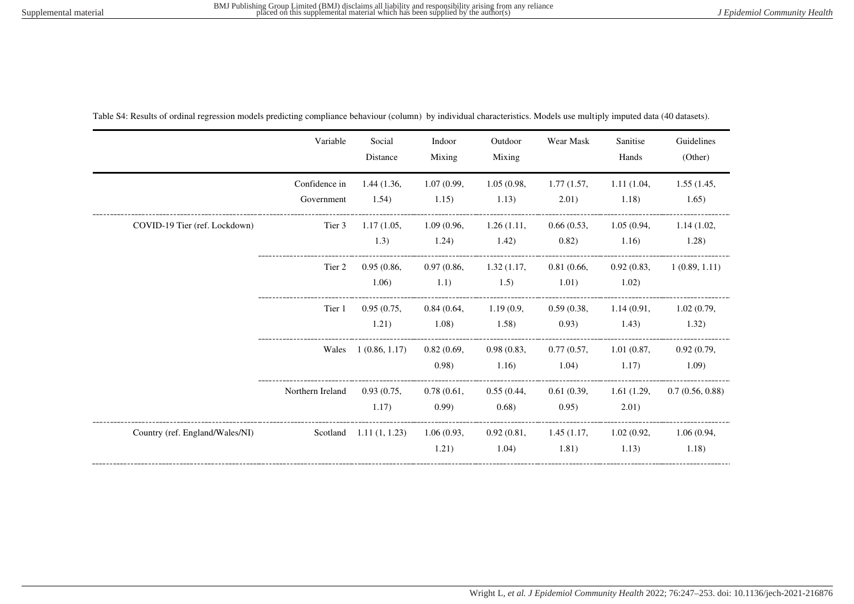|                                 | Variable                    | Social<br>Distance                    | Indoor<br>Mixing     | Outdoor<br>Mixing   | Wear Mask                                 | Sanitise<br>Hands   | Guidelines<br>(Other) |
|---------------------------------|-----------------------------|---------------------------------------|----------------------|---------------------|-------------------------------------------|---------------------|-----------------------|
|                                 | Confidence in<br>Government | 1.44 (1.36,<br>1.54)                  | 1.07(0.99,<br>1.15)  | 1.05(0.98,<br>1.13) | 1.77(1.57,<br>2.01)                       | 1.11(1.04,<br>1.18) | 1.55(1.45,<br>1.65)   |
| COVID-19 Tier (ref. Lockdown)   | Tier 3                      | 1.17(1.05,<br>1.3)                    | 1.09(0.96,<br>1.24)  | 1.26(1.11,<br>1.42) | 0.66(0.53,<br>0.82)                       | 1.05(0.94,<br>1.16) | 1.14(1.02,<br>1.28)   |
|                                 | Tier 2                      | 0.95(0.86,<br>1.06)                   | 0.97(0.86,<br>1.1)   | 1.32(1.17,<br>1.5)  | 0.81(0.66,<br>1.01)                       | 0.92(0.83,<br>1.02) | 1(0.89, 1.11)         |
|                                 | Tier 1                      | 0.95(0.75,<br>1.21)                   | 0.84(0.64,<br>1.08)  | 1.19(0.9,<br>1.58)  | 0.59(0.38,<br>0.93)                       | 1.14(0.91,<br>1.43) | 1.02(0.79,<br>1.32)   |
|                                 | Wales                       | 1(0.86, 1.17)                         | 0.82(0.69,<br>(0.98) | 0.98(0.83,<br>1.16) | 0.77(0.57,<br>1.04)                       | 1.01(0.87,<br>1.17) | 0.92(0.79,<br>1.09    |
|                                 | Northern Ireland            | 0.93(0.75,<br>1.17)                   | 0.78(0.61,<br>(0.99) | 0.55(0.44,<br>0.68) | 0.61(0.39,<br>0.95)                       | 1.61(1.29,<br>2.01) | 0.7(0.56, 0.88)       |
| Country (ref. England/Wales/NI) |                             | Scotland $1.11(1, 1.23)$ $1.06(0.93,$ | 1.21)                | 1.04)               | 0.92(0.81, 1.45(1.17, 1.02(0.92,<br>1.81) | 1.13)               | 1.06(0.94,<br>1.18)   |

Table S4: Results of ordinal regression models predicting compliance behaviour (column) by individual characteristics. Models use multiply imputed data (40 datasets).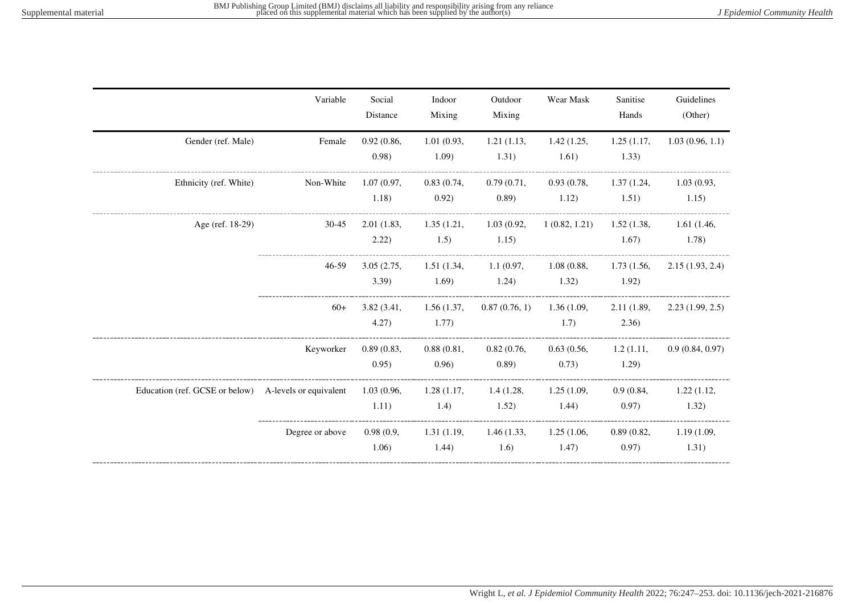|                                                                   | Variable        | Social<br>Distance  | Indoor<br>Mixing              | Outdoor<br>Mixing                        | Wear Mask                      | Sanitise<br>Hands    | Guidelines<br>(Other) |
|-------------------------------------------------------------------|-----------------|---------------------|-------------------------------|------------------------------------------|--------------------------------|----------------------|-----------------------|
| Gender (ref. Male)                                                | Female          | 0.92(0.86,<br>0.98) | 1.01(0.93,<br>1.09)           | 1.21(1.13,<br>1.31)                      | 1.42(1.25,<br>1.61)            | 1.25(1.17,<br>1.33)  | 1.03(0.96, 1.1)       |
| Ethnicity (ref. White)                                            | Non-White       | 1.07(0.97,<br>1.18) | 0.83(0.74,<br>0.92)           | 0.79(0.71,<br>(0.89)                     | 0.93(0.78,<br>1.12)            | 1.37(1.24,<br>1.51)  | 1.03(0.93,<br>1.15)   |
| Age (ref. 18-29)                                                  | 30-45           | 2.01(1.83,<br>2.22) | 1.35(1.21,<br>1.5)            | 1.03(0.92,<br>1.15)                      | $1(0.82, 1.21)$ $1.52(1.38,$   | 1.67)                | 1.61(1.46,<br>1.78)   |
|                                                                   | 46-59           | 3.05(2.75,<br>3.39  | 1.69)                         | 1.51(1.34, 1.1(0.97, 1.08(0.88,<br>1.24) | 1.32)                          | 1.73 (1.56,<br>1.92) | 2.15(1.93, 2.4)       |
|                                                                   | $60+$           | 3.82(3.41,<br>4.27) | 1.56(1.37,<br>1.77)           | 0.87(0.76, 1)                            | 1.36(1.09,<br>1.7)             | 2.11(1.89,<br>2.36)  | 2.23(1.99, 2.5)       |
|                                                                   | Keyworker       | 0.89(0.83,<br>0.95) | 0.88(0.81,<br>0.96)           | 0.82(0.76,<br>(0.89)                     | 0.63(0.56,<br>(0.73)           | 1.2(1.11,<br>1.29    | 0.9(0.84, 0.97)       |
| Education (ref. GCSE or below) A-levels or equivalent 1.03 (0.96, |                 | 1.11)               | 1.4)                          | 1.28(1.17, 1.4(1.28,<br>1.52)            | 1.25(1.09,<br>1.44)            | 0.9(0.84,<br>0.97)   | 1.22(1.12,<br>1.32)   |
|                                                                   | Degree or above | 1.06)               | 0.98(0.9, 1.31(1.19,<br>1.44) | 1.6)                                     | 1.46(1.33, 1.25(1.06,<br>1.47) | 0.89(0.82,<br>0.97)  | 1.19(1.09,<br>1.31)   |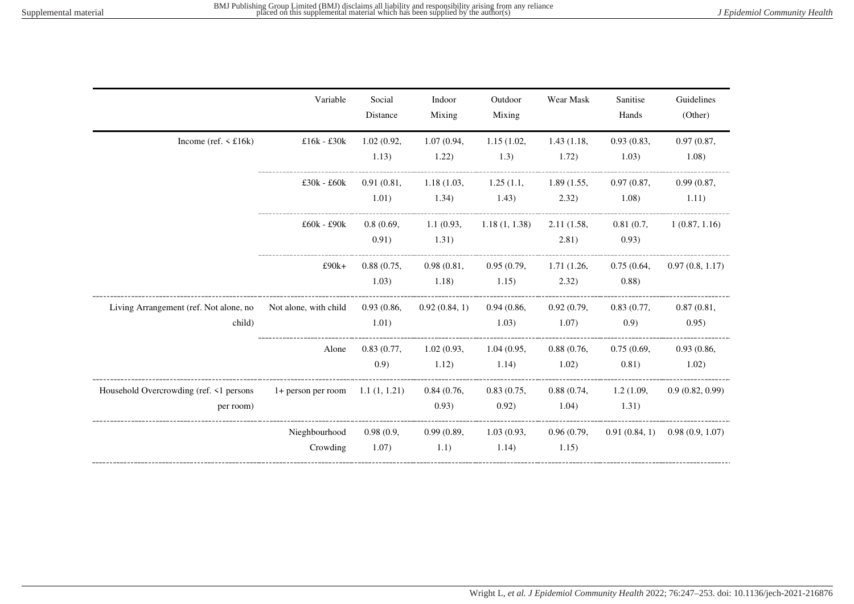|                                                      | Variable                             | Social<br>Distance  | Indoor<br>Mixing             | Outdoor<br>Mixing                         | Wear Mask           | Sanitise<br>Hands             | Guidelines<br>(Other)             |
|------------------------------------------------------|--------------------------------------|---------------------|------------------------------|-------------------------------------------|---------------------|-------------------------------|-----------------------------------|
| Income (ref. $\leq$ £16k)                            | £16 $k - £30k$                       | 1.02(0.92,<br>1.13) | 1.07(0.94,<br>1.22)          | 1.15(1.02,<br>1.3)                        | 1.43(1.18,<br>1.72) | 0.93(0.83,<br>1.03)           | 0.97(0.87,<br>1.08)               |
|                                                      | $£30k - £60k$                        | 0.91(0.81,<br>1.01) | 1.18(1.03,<br>1.34)          | 1.25(1.1,<br>1.43)                        | 1.89(1.55,<br>2.32) | 0.97(0.87,<br>1.08)           | 0.99(0.87,<br>1.11)               |
|                                                      | $£60k - £90k$                        | 0.91)               | 0.8(0.69, 1.1(0.93,<br>1.31) | 1.18(1, 1.38)                             | 2.11(1.58,<br>2.81) | 0.81(0.7)<br>0.93)            | 1(0.87, 1.16)                     |
|                                                      | $£90k+$                              | 0.88(0.75,<br>1.03) | 0.98(0.81,<br>1.18)          | 0.95(0.79, 1.71(1.26,<br>1.15)            | 2.32)               | 0.75(0.64,<br>(0.88)          | 0.97(0.8, 1.17)                   |
| Living Arrangement (ref. Not alone, no<br>child)     | Not alone, with child                | 0.93(0.86,<br>1.01) | 0.92(0.84, 1)                | 0.94(0.86,<br>1.03)                       | 0.92(0.79,<br>1.07) | 0.83(0.77,<br>(0.9)           | 0.87(0.81,<br>0.95)               |
|                                                      | Alone                                | (0.9)               | 1.12)                        | 0.83(0.77, 1.02(0.93, 1.04(0.95,<br>1.14) | 0.88(0.76,<br>1.02) | 0.75(0.69,<br>0.81)           | 0.93(0.86,<br>1.02)               |
| Household Overcrowding (ref. <1 persons<br>per room) | $1+$ person per room $1.1 (1, 1.21)$ |                     | 0.84(0.76,<br>0.93)          | 0.83(0.75,<br>0.92)                       | 1.04)               | 0.88(0.74, 1.2(1.09,<br>1.31) | 0.9(0.82, 0.99)                   |
|                                                      | Nieghbourhood<br>Crowding            | 0.98(0.9,<br>1.07)  | 0.99(0.89,<br>1.1)           | 1.03(0.93,<br>1.14)                       | 0.96(0.79,<br>1.15) |                               | $0.91(0.84, 1)$ $0.98(0.9, 1.07)$ |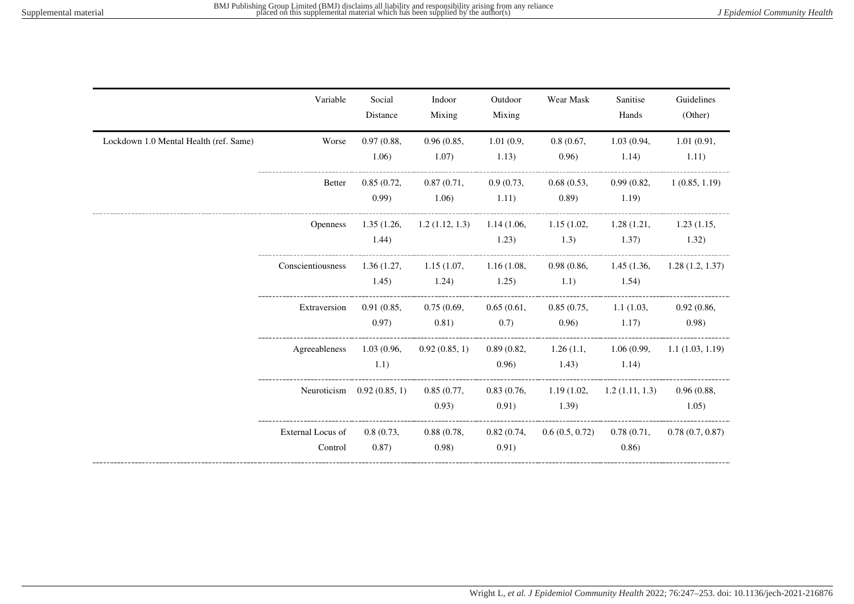|                                        | Variable                     | Social<br>Distance           | Indoor<br>Mixing                                  | Outdoor<br>Mixing   | Wear Mask                                | Sanitise<br>Hands             | Guidelines<br>(Other)       |
|----------------------------------------|------------------------------|------------------------------|---------------------------------------------------|---------------------|------------------------------------------|-------------------------------|-----------------------------|
| Lockdown 1.0 Mental Health (ref. Same) | Worse                        | 0.97(0.88,<br>1.06)          | 0.96(0.85,<br>1.07)                               | 1.01(0.9,<br>1.13)  | 0.8(0.67,<br>0.96)                       | 1.03(0.94,<br>1.14)           | 1.01(0.91,<br>1.11)         |
|                                        | <b>Better</b>                | 0.85(0.72,<br>(0.99)         | 0.87(0.71,<br>1.06)                               | 0.9(0.73,<br>1.11)  | 0.68(0.53,<br>(0.89)                     | 0.99(0.82,<br>1.19)           | 1(0.85, 1.19)               |
|                                        | <b>Openness</b>              | 1.35(1.26,<br>1.44)          | $1.2(1.12, 1.3)$ $1.14(1.06, 1.15(1.02,$<br>1.23) |                     | 1.3)                                     | 1.28(1.21,<br>1.37)           | 1.23(1.15,<br>1.32)         |
|                                        | Conscientiousness            | 1.36(1.27,<br>1.45)          | 1.15(1.07, 1.16(1.08,<br>1.24)                    | 1.25)               | 0.98(0.86,<br>1.1)                       | 1.54)                         | 1.45(1.36, 1.28(1.2, 1.37)) |
|                                        | Extraversion                 | 0.91(0.85,<br>0.97)          | 0.75(0.69,<br>0.81)                               | 0.65(0.61,<br>(0.7) | (0.96)                                   | 0.85(0.75, 1.1(1.03,<br>1.17) | 0.92(0.86,<br>(0.98)        |
|                                        | Agreeableness                | 1.03(0.96,<br>1.1)           | 0.92(0.85, 1)                                     | 0.96)               | 0.89(0.82, 1.26(1.1, 1.06(0.99,<br>1.43) | 1.14)                         | 1.1(1.03, 1.19)             |
|                                        |                              | Neuroticism $0.92 (0.85, 1)$ | 0.85(0.77,<br>0.93)                               | 0.91)               | 0.83(0.76, 1.19(1.02,<br>1.39)           | 1.2(1.11, 1.3)                | 0.96(0.88,<br>1.05)         |
|                                        | External Locus of<br>Control | 0.8(0.73,<br>(0.87)          | 0.88(0.78,<br>0.98)                               | 0.91)               | $0.82(0.74, 0.6(0.5, 0.72)$ 0.78 (0.71,  | 0.86)                         | 0.78(0.7, 0.87)             |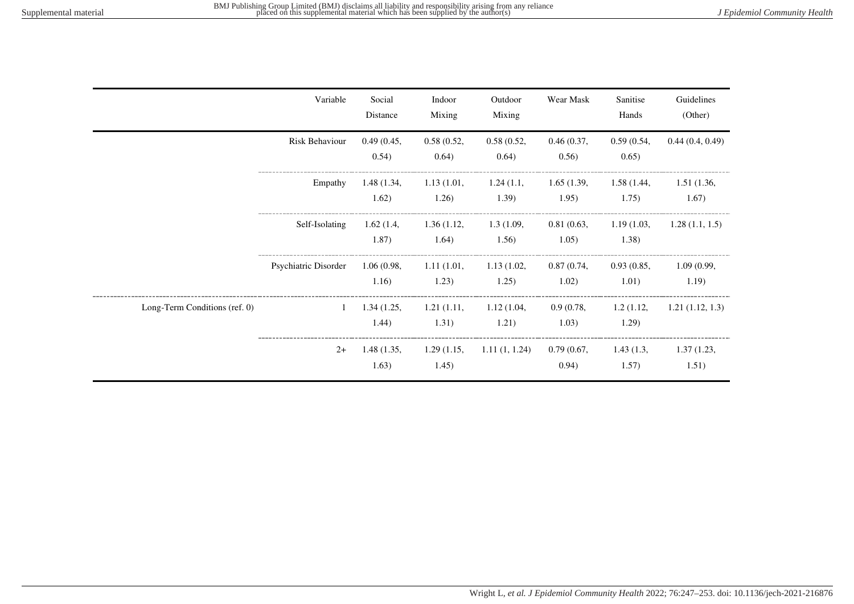|                               | Variable             | Social<br>Distance  | Indoor<br>Mixing    | Outdoor<br>Mixing   | Wear Mask           | Sanitise<br>Hands   | Guidelines<br>(Other) |
|-------------------------------|----------------------|---------------------|---------------------|---------------------|---------------------|---------------------|-----------------------|
|                               | Risk Behaviour       | 0.49(0.45,<br>0.54) | 0.58(0.52,<br>0.64) | 0.58(0.52,<br>0.64) | 0.46(0.37,<br>0.56) | 0.59(0.54,<br>0.65) | 0.44(0.4, 0.49)       |
|                               | Empathy              | 1.48(1.34,<br>1.62) | 1.13(1.01,<br>1.26) | 1.24(1.1,<br>1.39)  | 1.65(1.39,<br>1.95) | 1.58(1.44,<br>1.75) | 1.51(1.36,<br>1.67)   |
|                               | Self-Isolating       | 1.62(1.4,<br>1.87)  | 1.36(1.12,<br>1.64) | 1.3(1.09,<br>1.56)  | 0.81(0.63,<br>1.05) | 1.19(1.03,<br>1.38) | 1.28(1.1, 1.5)        |
|                               | Psychiatric Disorder | 1.06(0.98,<br>1.16) | 1.11(1.01,<br>1.23) | 1.13(1.02,<br>1.25) | 0.87(0.74,<br>1.02) | 0.93(0.85,<br>1.01) | 1.09(0.99,<br>1.19)   |
| Long-Term Conditions (ref. 0) | $\mathbf{1}$         | 1.34(1.25,<br>1.44) | 1.21(1.11,<br>1.31) | 1.12(1.04,<br>1.21) | 0.9(0.78,<br>1.03)  | 1.2(1.12,<br>1.29)  | 1.21(1.12, 1.3)       |
|                               | $2+$                 | 1.48(1.35,<br>1.63) | 1.29(1.15,<br>1.45) | 1.11(1, 1.24)       | 0.79(0.67,<br>0.94) | 1.43(1.3,<br>1.57)  | 1.37(1.23,<br>1.51)   |